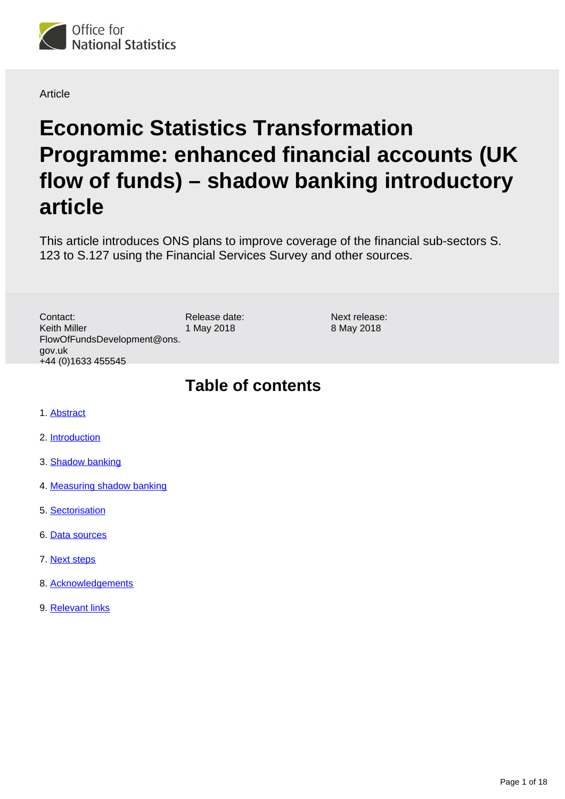

**Article** 

# **Economic Statistics Transformation Programme: enhanced financial accounts (UK flow of funds) – shadow banking introductory article**

This article introduces ONS plans to improve coverage of the financial sub-sectors S. 123 to S.127 using the Financial Services Survey and other sources.

Release date: 1 May 2018 Contact: Keith Miller FlowOfFundsDevelopment@ons. gov.uk +44 (0)1633 455545

Next release: 8 May 2018

## **Table of contents**

- 1. [Abstract](#page-1-0)
- 2. [Introduction](#page-1-1)
- 3. **[Shadow banking](#page-2-0)**
- 4. [Measuring shadow banking](#page-4-0)
- 5. [Sectorisation](#page-7-0)
- 6. [Data sources](#page-9-0)
- 7. [Next steps](#page-14-0)
- 8. [Acknowledgements](#page-15-0)
- 9. [Relevant links](#page-15-1)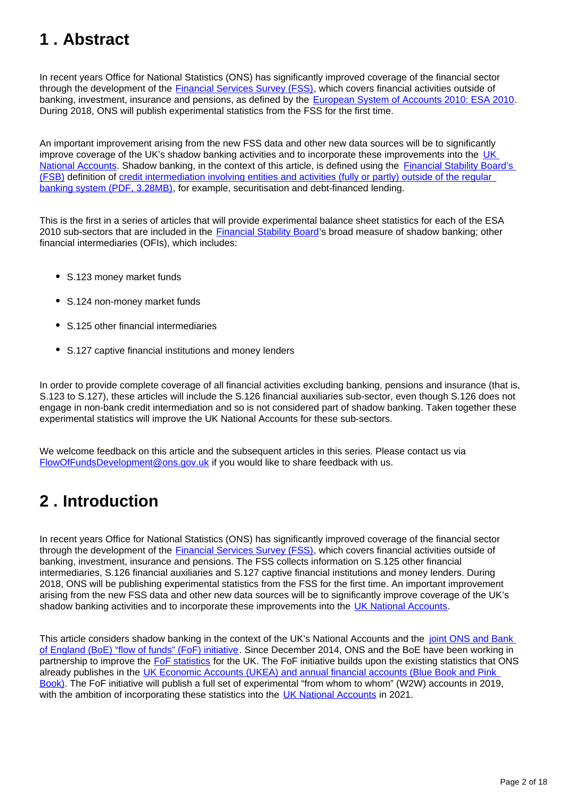## <span id="page-1-0"></span>**1 . Abstract**

In recent years Office for National Statistics (ONS) has significantly improved coverage of the financial sector through the development of the **[Financial Services Survey \(FSS\)](https://www.ons.gov.uk/surveys/informationforbusinesses/businesssurveys/financialservicessurvey)**, which covers financial activities outside of banking, investment, insurance and pensions, as defined by the [European System of Accounts 2010: ESA 2010](http://ec.europa.eu/eurostat/web/esa-2010). During 2018, ONS will publish experimental statistics from the FSS for the first time.

An important improvement arising from the new FSS data and other new data sources will be to significantly improve coverage of the UK's shadow banking activities and to incorporate these improvements into the [UK](https://www.ons.gov.uk/releases/uknationalaccountsthebluebook2017)  [National Accounts](https://www.ons.gov.uk/releases/uknationalaccountsthebluebook2017). Shadow banking, in the context of this article, is defined using the [Financial Stability Board's](http://www.fsb.org/2018/03/global-shadow-banking-monitoring-report-2017/)  [\(FSB\)](http://www.fsb.org/2018/03/global-shadow-banking-monitoring-report-2017/) definition of [credit intermediation involving entities and activities \(fully or partly\) outside of the regular](http://www.fsb.org/wp-content/uploads/P050318-1.pdf)  [banking system \(PDF, 3.28MB\)](http://www.fsb.org/wp-content/uploads/P050318-1.pdf), for example, securitisation and debt-financed lending.

This is the first in a series of articles that will provide experimental balance sheet statistics for each of the ESA 2010 sub-sectors that are included in the [Financial Stability Board](http://www.fsb.org/about/)'s broad measure of shadow banking; other financial intermediaries (OFIs), which includes:

- S.123 money market funds
- S.124 non-money market funds
- S.125 other financial intermediaries
- S.127 captive financial institutions and money lenders

In order to provide complete coverage of all financial activities excluding banking, pensions and insurance (that is, S.123 to S.127), these articles will include the S.126 financial auxiliaries sub-sector, even though S.126 does not engage in non-bank credit intermediation and so is not considered part of shadow banking. Taken together these experimental statistics will improve the UK National Accounts for these sub-sectors.

We welcome feedback on this article and the subsequent articles in this series. Please contact us via FlowOfFundsDevelopment@ons.gov.uk if you would like to share feedback with us.

## <span id="page-1-1"></span>**2 . Introduction**

In recent years Office for National Statistics (ONS) has significantly improved coverage of the financial sector through the development of the **[Financial Services Survey \(FSS\)](https://www.ons.gov.uk/surveys/informationforbusinesses/businesssurveys/financialservicessurvey)**, which covers financial activities outside of banking, investment, insurance and pensions. The FSS collects information on S.125 other financial intermediaries, S.126 financial auxiliaries and S.127 captive financial institutions and money lenders. During 2018, ONS will be publishing experimental statistics from the FSS for the first time. An important improvement arising from the new FSS data and other new data sources will be to significantly improve coverage of the UK's shadow banking activities and to incorporate these improvements into the [UK National Accounts.](https://www.ons.gov.uk/releases/uknationalaccountsthebluebook2017)

This article considers shadow banking in the context of the UK's National Accounts and the joint ONS and Bank [of England \(BoE\) "flow of funds" \(FoF\) initiative](http://webarchive.nationalarchives.gov.uk/20160106021630/http:/www.ons.gov.uk/ons/guide-method/method-quality/specific/economy/national-accounts/changes-to-national-accounts/flow-of-funds--fof-/index.html). Since December 2014, ONS and the BoE have been working in partnership to improve the [FoF statistics](http://webarchive.nationalarchives.gov.uk/20160106021630/http:/www.ons.gov.uk/ons/guide-method/method-quality/specific/economy/national-accounts/changes-to-national-accounts/flow-of-funds--fof-/index.html) for the UK. The FoF initiative builds upon the existing statistics that ONS already publishes in the UK Economic Accounts (UKEA) and annual financial accounts (Blue Book and Pink [Book\)](https://www.ons.gov.uk/economy/grossdomesticproductgdp/datasets/unitedkingdomeconomicaccounts). The FoF initiative will publish a full set of experimental "from whom to whom" (W2W) accounts in 2019, with the ambition of incorporating these statistics into the [UK National Accounts](https://www.ons.gov.uk/releases/uknationalaccountsthebluebook2017) in 2021.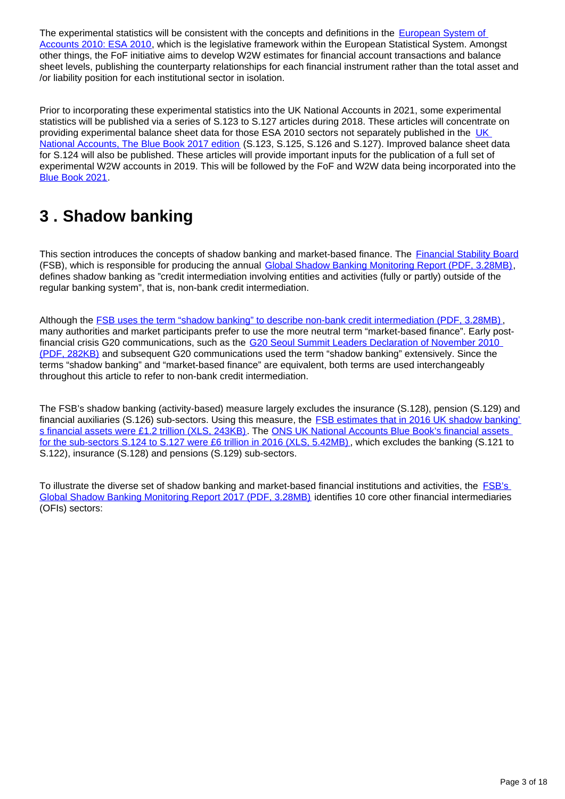The experimental statistics will be consistent with the concepts and definitions in the European System of [Accounts 2010: ESA 2010,](http://ec.europa.eu/eurostat/web/esa-2010) which is the legislative framework within the European Statistical System. Amongst other things, the FoF initiative aims to develop W2W estimates for financial account transactions and balance sheet levels, publishing the counterparty relationships for each financial instrument rather than the total asset and /or liability position for each institutional sector in isolation.

Prior to incorporating these experimental statistics into the UK National Accounts in 2021, some experimental statistics will be published via a series of S.123 to S.127 articles during 2018. These articles will concentrate on providing experimental balance sheet data for those ESA 2010 sectors not separately published in the [UK](https://www.ons.gov.uk/releases/uknationalaccountsthebluebook2017)  [National Accounts, The Blue Book 2017 edition](https://www.ons.gov.uk/releases/uknationalaccountsthebluebook2017) (S.123, S.125, S.126 and S.127). Improved balance sheet data for S.124 will also be published. These articles will provide important inputs for the publication of a full set of experimental W2W accounts in 2019. This will be followed by the FoF and W2W data being incorporated into the [Blue Book 2021](https://www.ons.gov.uk/releases/uknationalaccountsthebluebook2017).

## <span id="page-2-0"></span>**3 . Shadow banking**

This section introduces the concepts of shadow banking and market-based finance. The [Financial Stability Board](http://www.fsb.org/about/) (FSB), which is responsible for producing the annual [Global Shadow Banking Monitoring Report \(PDF, 3.28MB\),](http://www.fsb.org/wp-content/uploads/P050318-1.pdf) defines shadow banking as "credit intermediation involving entities and activities (fully or partly) outside of the regular banking system", that is, non-bank credit intermediation.

Although the **FSB** uses the term "shadow banking" to describe non-bank credit intermediation (PDF, 3.28MB), many authorities and market participants prefer to use the more neutral term "market-based finance". Early postfinancial crisis G20 communications, such as the G20 Seoul Summit Leaders Declaration of November 2010 [\(PDF, 282KB\)](http://www.fsb.org/wp-content/uploads/g20_leaders_declaration_seoul_summit_2010.pdf) and subsequent G20 communications used the term "shadow banking" extensively. Since the terms "shadow banking" and "market-based finance" are equivalent, both terms are used interchangeably throughout this article to refer to non-bank credit intermediation.

The FSB's shadow banking (activity-based) measure largely excludes the insurance (S.128), pension (S.129) and financial auxiliaries (S.126) sub-sectors. Using this measure, the **FSB estimates that in 2016 UK shadow banking** [s financial assets were £1.2 trillion \(XLS, 243KB\)](http://www.fsb.org/wp-content/uploads/Global-Shadow-Banking-Monitoring-Report-2017-Monitoring-Dataset.xlsx). The ONS UK National Accounts Blue Book's financial assets [for the sub-sectors S.124 to S.127 were £6 trillion in 2016 \(XLS, 5.42MB\)](https://www.ons.gov.uk/file?uri=/economy/grossdomesticproductgdp/compendium/unitedkingdomnationalaccountsthebluebook/2017/uknationalaccountsthebluebook2017/bbchapter04fcsectorv3.xls) , which excludes the banking (S.121 to S.122), insurance (S.128) and pensions (S.129) sub-sectors.

To illustrate the diverse set of shadow banking and market-based financial institutions and activities, the **FSB's** [Global Shadow Banking Monitoring Report 2017 \(PDF, 3.28MB\)](http://www.fsb.org/wp-content/uploads/P050318-1.pdf) identifies 10 core other financial intermediaries (OFIs) sectors: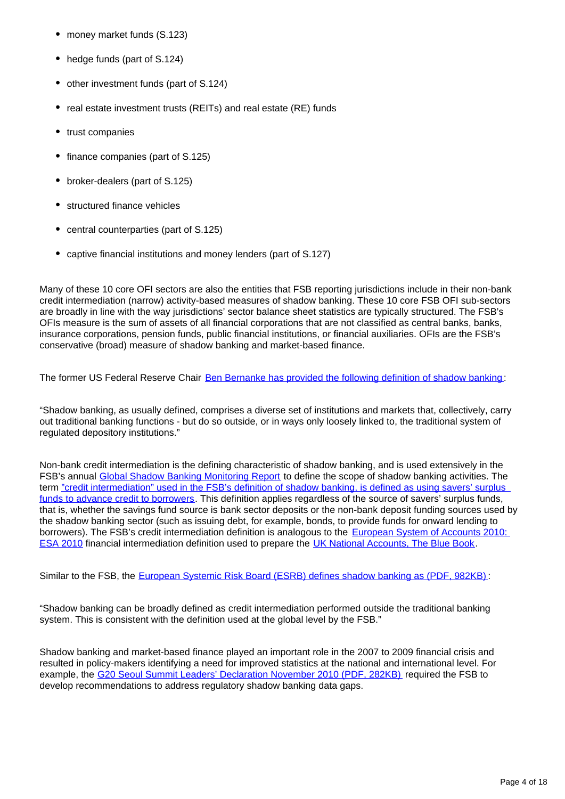- money market funds (S.123)
- hedge funds (part of S.124)
- other investment funds (part of S.124)
- real estate investment trusts (REITs) and real estate (RE) funds  $\bullet$
- trust companies
- finance companies (part of S.125)
- broker-dealers (part of S.125)
- structured finance vehicles
- central counterparties (part of S.125)
- captive financial institutions and money lenders (part of S.127)

Many of these 10 core OFI sectors are also the entities that FSB reporting jurisdictions include in their non-bank credit intermediation (narrow) activity-based measures of shadow banking. These 10 core FSB OFI sub-sectors are broadly in line with the way jurisdictions' sector balance sheet statistics are typically structured. The FSB's OFIs measure is the sum of assets of all financial corporations that are not classified as central banks, banks, insurance corporations, pension funds, public financial institutions, or financial auxiliaries. OFIs are the FSB's conservative (broad) measure of shadow banking and market-based finance.

The former US Federal Reserve Chair [Ben Bernanke has provided the following definition of shadow banking](https://www.federalreserve.gov/newsevents/speech/bernanke20120413a.htm) :

"Shadow banking, as usually defined, comprises a diverse set of institutions and markets that, collectively, carry out traditional banking functions - but do so outside, or in ways only loosely linked to, the traditional system of regulated depository institutions."

Non-bank credit intermediation is the defining characteristic of shadow banking, and is used extensively in the FSB's annual [Global Shadow Banking Monitoring Report](http://www.fsb.org/2017/05/global-shadow-banking-monitoring-report-2016/) to define the scope of shadow banking activities. The term ["credit intermediation" used in the FSB's definition of shadow banking, is defined as using savers' surplus](http://www.imf.org/external/pubs/ft/fandd/2013/06/basics.htm)  [funds to advance credit to borrowers](http://www.imf.org/external/pubs/ft/fandd/2013/06/basics.htm). This definition applies regardless of the source of savers' surplus funds, that is, whether the savings fund source is bank sector deposits or the non-bank deposit funding sources used by the shadow banking sector (such as issuing debt, for example, bonds, to provide funds for onward lending to borrowers). The FSB's credit intermediation definition is analogous to the European System of Accounts 2010: [ESA 2010](http://ec.europa.eu/eurostat/web/esa-2010) financial intermediation definition used to prepare the [UK National Accounts, The Blue Book.](https://www.ons.gov.uk/releases/uknationalaccountsthebluebook2017)

Similar to the FSB, the [European Systemic Risk Board \(ESRB\) defines shadow banking as \(PDF, 982KB\)](https://www.esrb.europa.eu/pub/pdf/occasional/20160727_occasional_paper_10.en.pdf) :

"Shadow banking can be broadly defined as credit intermediation performed outside the traditional banking system. This is consistent with the definition used at the global level by the FSB."

Shadow banking and market-based finance played an important role in the 2007 to 2009 financial crisis and resulted in policy-makers identifying a need for improved statistics at the national and international level. For example, the [G20 Seoul Summit Leaders' Declaration November 2010 \(PDF, 282KB\)](http://www.fsb.org/wp-content/uploads/g20_leaders_declaration_seoul_summit_2010.pdf) required the FSB to develop recommendations to address regulatory shadow banking data gaps.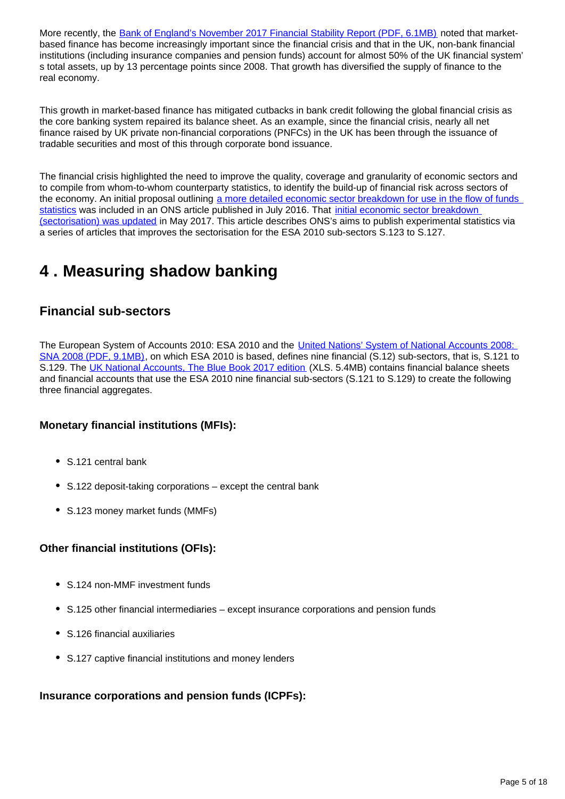More recently, the [Bank of England's November 2017 Financial Stability Report \(PDF, 6.1MB\)](https://www.bankofengland.co.uk/-/media/boe/files/financial-stability-report/2017/november-2017.pdf?la=en&hash=F6D65F714A7DC28394BC4FCC9909CCD39E28AD10) noted that marketbased finance has become increasingly important since the financial crisis and that in the UK, non-bank financial institutions (including insurance companies and pension funds) account for almost 50% of the UK financial system' s total assets, up by 13 percentage points since 2008. That growth has diversified the supply of finance to the real economy.

This growth in market-based finance has mitigated cutbacks in bank credit following the global financial crisis as the core banking system repaired its balance sheet. As an example, since the financial crisis, nearly all net finance raised by UK private non-financial corporations (PNFCs) in the UK has been through the issuance of tradable securities and most of this through corporate bond issuance.

The financial crisis highlighted the need to improve the quality, coverage and granularity of economic sectors and to compile from whom-to-whom counterparty statistics, to identify the build-up of financial risk across sectors of the economy. An initial proposal outlining a more detailed economic sector breakdown for use in the flow of funds [statistics](https://www.ons.gov.uk/economy/nationalaccounts/uksectoraccounts/articles/economicstatisticstransformationprogramme/developingtheenhancedfinancialaccountsukflowoffunds) was included in an ONS article published in July 2016. That [initial economic sector breakdown](https://www.ons.gov.uk/economy/nationalaccounts/uksectoraccounts/articles/economicstatisticstransformationprogramme/enhancedfinancialaccountsukflowoffundsimprovingtheeconomicsectorbreakdown)  [\(sectorisation\) was updated](https://www.ons.gov.uk/economy/nationalaccounts/uksectoraccounts/articles/economicstatisticstransformationprogramme/enhancedfinancialaccountsukflowoffundsimprovingtheeconomicsectorbreakdown) in May 2017. This article describes ONS's aims to publish experimental statistics via a series of articles that improves the sectorisation for the ESA 2010 sub-sectors S.123 to S.127.

## <span id="page-4-0"></span>**4 . Measuring shadow banking**

## **Financial sub-sectors**

The European System of Accounts 2010: ESA 2010 and the *United Nations' System of National Accounts 2008*: [SNA 2008 \(PDF, 9.1MB\),](https://unstats.un.org/unsd/nationalaccount/docs/SNA2008.pdf) on which ESA 2010 is based, defines nine financial (S.12) sub-sectors, that is, S.121 to S.129. The [UK National Accounts, The Blue Book 2017 edition](https://www.ons.gov.uk/file?uri=/economy/grossdomesticproductgdp/compendium/unitedkingdomnationalaccountsthebluebook/2017/uknationalaccountsthebluebook2017/bbchapter04fcsectorv3.xls) (XLS. 5.4MB) contains financial balance sheets and financial accounts that use the ESA 2010 nine financial sub-sectors (S.121 to S.129) to create the following three financial aggregates.

#### **Monetary financial institutions (MFIs):**

- S.121 central bank
- S.122 deposit-taking corporations except the central bank
- S.123 money market funds (MMFs)

### **Other financial institutions (OFIs):**

- S.124 non-MMF investment funds
- S.125 other financial intermediaries except insurance corporations and pension funds
- S.126 financial auxiliaries
- S.127 captive financial institutions and money lenders

### **Insurance corporations and pension funds (ICPFs):**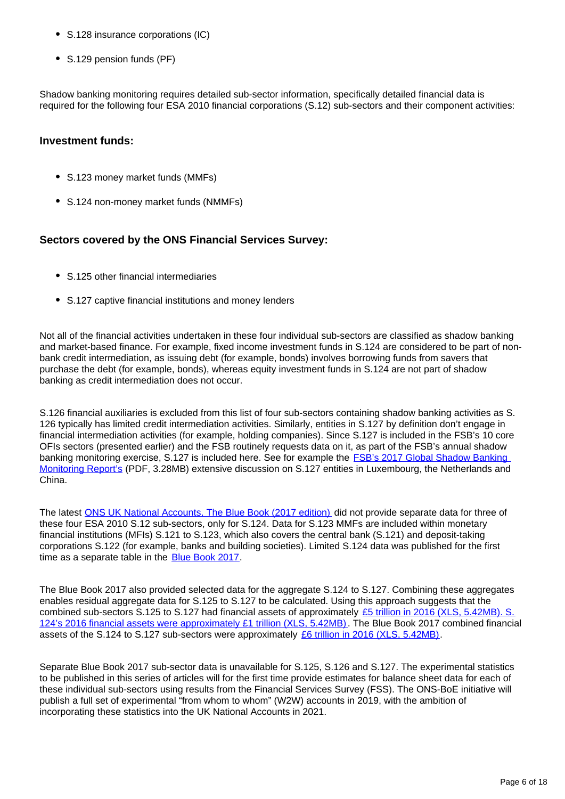- S.128 insurance corporations (IC)
- S.129 pension funds (PF)

Shadow banking monitoring requires detailed sub-sector information, specifically detailed financial data is required for the following four ESA 2010 financial corporations (S.12) sub-sectors and their component activities:

#### **Investment funds:**

- S.123 money market funds (MMFs)
- S.124 non-money market funds (NMMFs)

#### **Sectors covered by the ONS Financial Services Survey:**

- S.125 other financial intermediaries
- S.127 captive financial institutions and money lenders

Not all of the financial activities undertaken in these four individual sub-sectors are classified as shadow banking and market-based finance. For example, fixed income investment funds in S.124 are considered to be part of nonbank credit intermediation, as issuing debt (for example, bonds) involves borrowing funds from savers that purchase the debt (for example, bonds), whereas equity investment funds in S.124 are not part of shadow banking as credit intermediation does not occur.

S.126 financial auxiliaries is excluded from this list of four sub-sectors containing shadow banking activities as S. 126 typically has limited credit intermediation activities. Similarly, entities in S.127 by definition don't engage in financial intermediation activities (for example, holding companies). Since S.127 is included in the FSB's 10 core OFIs sectors (presented earlier) and the FSB routinely requests data on it, as part of the FSB's annual shadow banking monitoring exercise, S.127 is included here. See for example the [FSB's 2017 Global Shadow Banking](http://www.fsb.org/wp-content/uploads/P050318-1.pdf)  [Monitoring Report's](http://www.fsb.org/wp-content/uploads/P050318-1.pdf) (PDF, 3.28MB) extensive discussion on S.127 entities in Luxembourg, the Netherlands and China.

The latest [ONS UK National Accounts, The Blue Book \(2017 edition\)](https://www.ons.gov.uk/releases/uknationalaccountsthebluebook2017) did not provide separate data for three of these four ESA 2010 S.12 sub-sectors, only for S.124. Data for S.123 MMFs are included within monetary financial institutions (MFIs) S.121 to S.123, which also covers the central bank (S.121) and deposit-taking corporations S.122 (for example, banks and building societies). Limited S.124 data was published for the first time as a separate table in the [Blue Book 2017](https://www.ons.gov.uk/releases/uknationalaccountsthebluebook2017).

The Blue Book 2017 also provided selected data for the aggregate S.124 to S.127. Combining these aggregates enables residual aggregate data for S.125 to S.127 to be calculated. Using this approach suggests that the combined sub-sectors S.125 to S.127 had financial assets of approximately [£5 trillion in 2016 \(XLS, 5.42MB\). S.](https://www.ons.gov.uk/file?uri=/economy/grossdomesticproductgdp/compendium/unitedkingdomnationalaccountsthebluebook/2017/uknationalaccountsthebluebook2017/bbchapter04fcsectorv3.xls) [124's 2016 financial assets were approximately £1 trillion \(XLS, 5.42MB\)](https://www.ons.gov.uk/file?uri=/economy/grossdomesticproductgdp/compendium/unitedkingdomnationalaccountsthebluebook/2017/uknationalaccountsthebluebook2017/bbchapter04fcsectorv3.xls). The Blue Book 2017 combined financial assets of the S.124 to S.127 sub-sectors were approximately [£6 trillion in 2016 \(XLS, 5.42MB\).](https://www.ons.gov.uk/file?uri=/economy/grossdomesticproductgdp/compendium/unitedkingdomnationalaccountsthebluebook/2017/uknationalaccountsthebluebook2017/bbchapter04fcsectorv3.xls)

Separate Blue Book 2017 sub-sector data is unavailable for S.125, S.126 and S.127. The experimental statistics to be published in this series of articles will for the first time provide estimates for balance sheet data for each of these individual sub-sectors using results from the Financial Services Survey (FSS). The ONS-BoE initiative will publish a full set of experimental "from whom to whom" (W2W) accounts in 2019, with the ambition of incorporating these statistics into the UK National Accounts in 2021.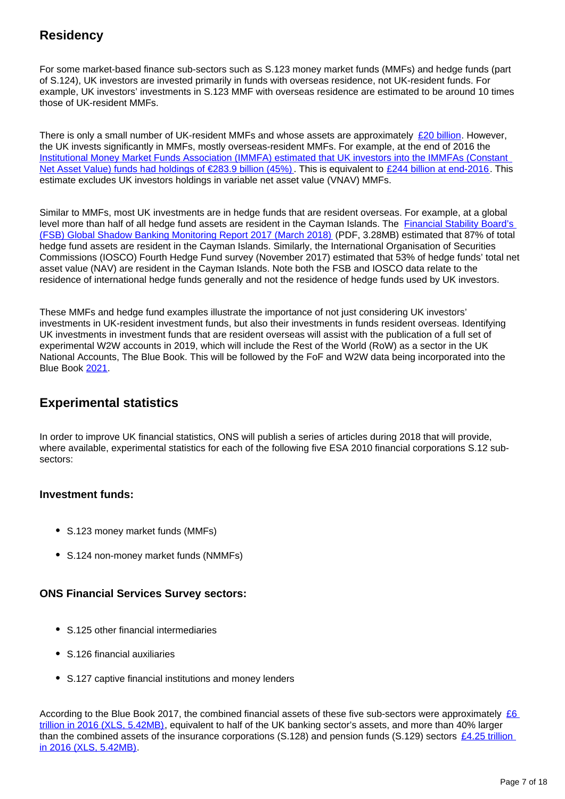## **Residency**

For some market-based finance sub-sectors such as S.123 money market funds (MMFs) and hedge funds (part of S.124), UK investors are invested primarily in funds with overseas residence, not UK-resident funds. For example, UK investors' investments in S.123 MMF with overseas residence are estimated to be around 10 times those of UK-resident MMFs.

There is only a small number of UK-resident MMFs and whose assets are approximately [£20 billion](https://www.ici.org/research/stats/worldwide). However, the UK invests significantly in MMFs, mostly overseas-resident MMFs. For example, at the end of 2016 the [Institutional Money Market Funds Association \(IMMFA\) estimated that UK investors into the IMMFAs \(Constant](https://www.immfa.org/market-statistics/immfa-aum.html)  [Net Asset Value\) funds had holdings of €283.9 billion \(45%\).](https://www.immfa.org/market-statistics/immfa-aum.html) This is equivalent to [£244 billion at end-2016](http://www.bankofengland.co.uk/boeapps/iadb/Rates.asp?TD=30&TM=Dec&TY=2016&into=EUR&rateview=D). This estimate excludes UK investors holdings in variable net asset value (VNAV) MMFs.

Similar to MMFs, most UK investments are in hedge funds that are resident overseas. For example, at a global level more than half of all hedge fund assets are resident in the Cayman Islands. The [Financial Stability Board's](http://www.fsb.org/wp-content/uploads/P050318-1.pdf)  [\(FSB\) Global Shadow Banking Monitoring Report 2017 \(March 2018\)](http://www.fsb.org/wp-content/uploads/P050318-1.pdf) (PDF, 3.28MB) estimated that 87% of total hedge fund assets are resident in the Cayman Islands. Similarly, the International Organisation of Securities Commissions (IOSCO) Fourth Hedge Fund survey (November 2017) estimated that 53% of hedge funds' total net asset value (NAV) are resident in the Cayman Islands. Note both the FSB and IOSCO data relate to the residence of international hedge funds generally and not the residence of hedge funds used by UK investors.

These MMFs and hedge fund examples illustrate the importance of not just considering UK investors' investments in UK-resident investment funds, but also their investments in funds resident overseas. Identifying UK investments in investment funds that are resident overseas will assist with the publication of a full set of experimental W2W accounts in 2019, which will include the Rest of the World (RoW) as a sector in the UK National Accounts, The Blue Book. This will be followed by the FoF and W2W data being incorporated into the Blue Book [2021](https://www.ons.gov.uk/releases/uknationalaccountsthebluebook2017).

### **Experimental statistics**

In order to improve UK financial statistics, ONS will publish a series of articles during 2018 that will provide, where available, experimental statistics for each of the following five ESA 2010 financial corporations S.12 subsectors:

#### **Investment funds:**

- S.123 money market funds (MMFs)
- S.124 non-money market funds (NMMFs)

#### **ONS Financial Services Survey sectors:**

- S.125 other financial intermediaries
- S.126 financial auxiliaries
- S.127 captive financial institutions and money lenders

According to the Blue Book 2017, the combined financial assets of these five sub-sectors were approximately  $£6$ [trillion in 2016 \(XLS, 5.42MB\),](https://www.ons.gov.uk/file?uri=/economy/grossdomesticproductgdp/compendium/unitedkingdomnationalaccountsthebluebook/2017/uknationalaccountsthebluebook2017/bbchapter04fcsectorv3.xls) equivalent to half of the UK banking sector's assets, and more than 40% larger than the combined assets of the insurance corporations (S.128) and pension funds (S.129) sectors  $£4.25$  trillion [in 2016 \(XLS, 5.42MB\)](https://www.ons.gov.uk/file?uri=/economy/grossdomesticproductgdp/compendium/unitedkingdomnationalaccountsthebluebook/2017/uknationalaccountsthebluebook2017/bbchapter04fcsectorv3.xls).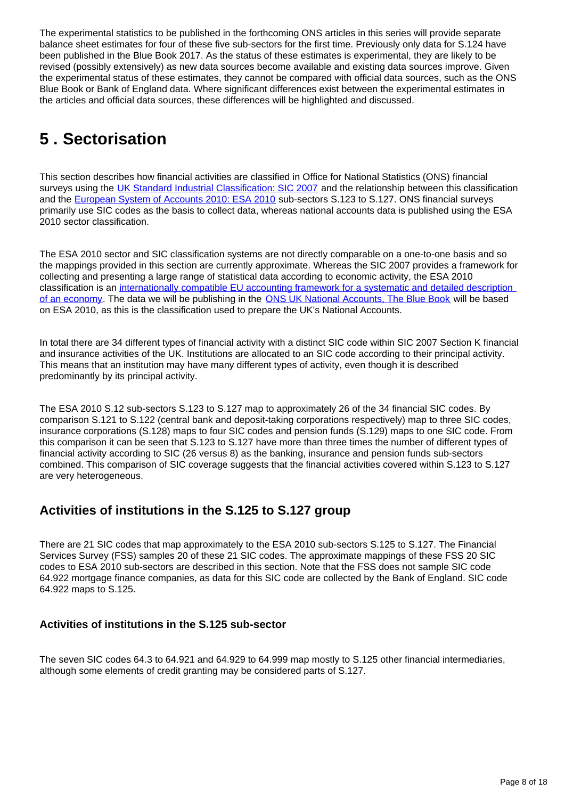The experimental statistics to be published in the forthcoming ONS articles in this series will provide separate balance sheet estimates for four of these five sub-sectors for the first time. Previously only data for S.124 have been published in the Blue Book 2017. As the status of these estimates is experimental, they are likely to be revised (possibly extensively) as new data sources become available and existing data sources improve. Given the experimental status of these estimates, they cannot be compared with official data sources, such as the ONS Blue Book or Bank of England data. Where significant differences exist between the experimental estimates in the articles and official data sources, these differences will be highlighted and discussed.

## <span id="page-7-0"></span>**5 . Sectorisation**

This section describes how financial activities are classified in Office for National Statistics (ONS) financial surveys using the [UK Standard Industrial Classification: SIC 2007](https://www.ons.gov.uk/methodology/classificationsandstandards/ukstandardindustrialclassificationofeconomicactivities/uksic2007) and the relationship between this classification and the [European System of Accounts 2010: ESA 2010](http://ec.europa.eu/eurostat/web/esa-2010) sub-sectors S.123 to S.127. ONS financial surveys primarily use SIC codes as the basis to collect data, whereas national accounts data is published using the ESA 2010 sector classification.

The ESA 2010 sector and SIC classification systems are not directly comparable on a one-to-one basis and so the mappings provided in this section are currently approximate. Whereas the SIC 2007 provides a framework for collecting and presenting a large range of statistical data according to economic activity, the ESA 2010 classification is an [internationally compatible EU accounting framework for a systematic and detailed description](http://ec.europa.eu/eurostat/web/products-manuals-and-guidelines/-/KS-02-13-269)  [of an economy](http://ec.europa.eu/eurostat/web/products-manuals-and-guidelines/-/KS-02-13-269). The data we will be publishing in the **ONS UK National Accounts**. The Blue Book will be based on ESA 2010, as this is the classification used to prepare the UK's National Accounts.

In total there are 34 different types of financial activity with a distinct SIC code within SIC 2007 Section K financial and insurance activities of the UK. Institutions are allocated to an SIC code according to their principal activity. This means that an institution may have many different types of activity, even though it is described predominantly by its principal activity.

The ESA 2010 S.12 sub-sectors S.123 to S.127 map to approximately 26 of the 34 financial SIC codes. By comparison S.121 to S.122 (central bank and deposit-taking corporations respectively) map to three SIC codes, insurance corporations (S.128) maps to four SIC codes and pension funds (S.129) maps to one SIC code. From this comparison it can be seen that S.123 to S.127 have more than three times the number of different types of financial activity according to SIC (26 versus 8) as the banking, insurance and pension funds sub-sectors combined. This comparison of SIC coverage suggests that the financial activities covered within S.123 to S.127 are very heterogeneous.

## **Activities of institutions in the S.125 to S.127 group**

There are 21 SIC codes that map approximately to the ESA 2010 sub-sectors S.125 to S.127. The Financial Services Survey (FSS) samples 20 of these 21 SIC codes. The approximate mappings of these FSS 20 SIC codes to ESA 2010 sub-sectors are described in this section. Note that the FSS does not sample SIC code 64.922 mortgage finance companies, as data for this SIC code are collected by the Bank of England. SIC code 64.922 maps to S.125.

#### **Activities of institutions in the S.125 sub-sector**

The seven SIC codes 64.3 to 64.921 and 64.929 to 64.999 map mostly to S.125 other financial intermediaries, although some elements of credit granting may be considered parts of S.127.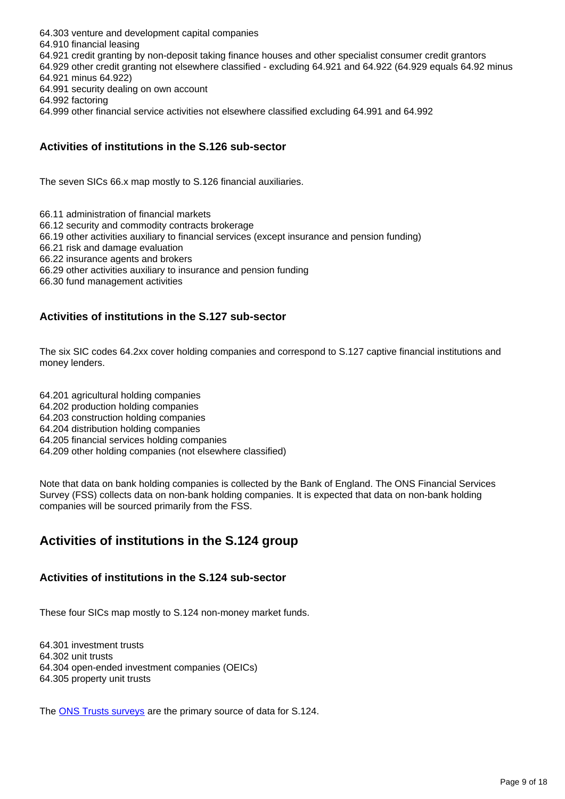64.303 venture and development capital companies 64.910 financial leasing 64.921 credit granting by non-deposit taking finance houses and other specialist consumer credit grantors 64.929 other credit granting not elsewhere classified - excluding 64.921 and 64.922 (64.929 equals 64.92 minus 64.921 minus 64.922) 64.991 security dealing on own account 64.992 factoring 64.999 other financial service activities not elsewhere classified excluding 64.991 and 64.992

#### **Activities of institutions in the S.126 sub-sector**

The seven SICs 66.x map mostly to S.126 financial auxiliaries.

66.11 administration of financial markets

66.12 security and commodity contracts brokerage

66.19 other activities auxiliary to financial services (except insurance and pension funding)

66.21 risk and damage evaluation

66.22 insurance agents and brokers

66.29 other activities auxiliary to insurance and pension funding

66.30 fund management activities

#### **Activities of institutions in the S.127 sub-sector**

The six SIC codes 64.2xx cover holding companies and correspond to S.127 captive financial institutions and money lenders.

64.201 agricultural holding companies 64.202 production holding companies 64.203 construction holding companies 64.204 distribution holding companies 64.205 financial services holding companies

64.209 other holding companies (not elsewhere classified)

Note that data on bank holding companies is collected by the Bank of England. The ONS Financial Services Survey (FSS) collects data on non-bank holding companies. It is expected that data on non-bank holding companies will be sourced primarily from the FSS.

### **Activities of institutions in the S.124 group**

#### **Activities of institutions in the S.124 sub-sector**

These four SICs map mostly to S.124 non-money market funds.

64.301 investment trusts 64.302 unit trusts 64.304 open-ended investment companies (OEICs) 64.305 property unit trusts

The [ONS Trusts surveys](https://www.ons.gov.uk/economy/investmentspensionsandtrusts/methodologies/mq5investmentbyinsurancecompaniespensionsfundsandtrustsqmi) are the primary source of data for S.124.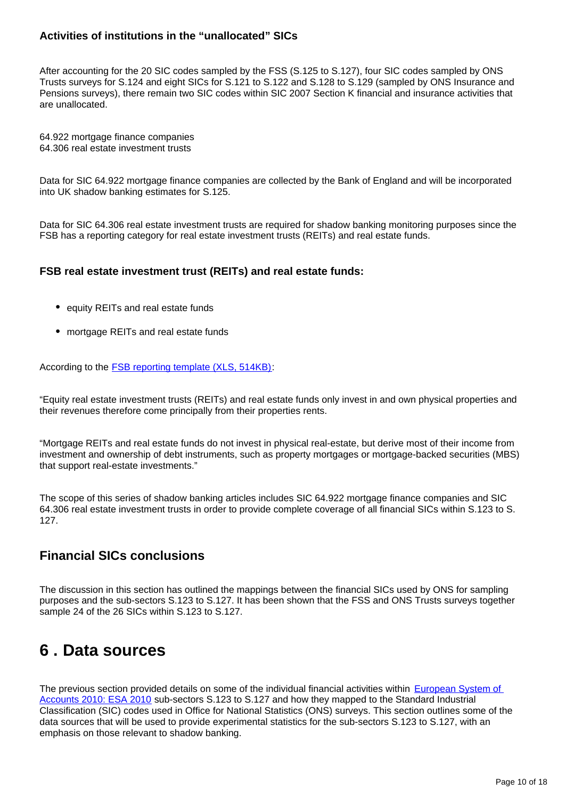#### **Activities of institutions in the "unallocated" SICs**

After accounting for the 20 SIC codes sampled by the FSS (S.125 to S.127), four SIC codes sampled by ONS Trusts surveys for S.124 and eight SICs for S.121 to S.122 and S.128 to S.129 (sampled by ONS Insurance and Pensions surveys), there remain two SIC codes within SIC 2007 Section K financial and insurance activities that are unallocated.

64.922 mortgage finance companies 64.306 real estate investment trusts

Data for SIC 64.922 mortgage finance companies are collected by the Bank of England and will be incorporated into UK shadow banking estimates for S.125.

Data for SIC 64.306 real estate investment trusts are required for shadow banking monitoring purposes since the FSB has a reporting category for real estate investment trusts (REITs) and real estate funds.

#### **FSB real estate investment trust (REITs) and real estate funds:**

- equity REITs and real estate funds
- mortgage REITs and real estate funds

According to the **FSB reporting template (XLS, 514KB)**:

"Equity real estate investment trusts (REITs) and real estate funds only invest in and own physical properties and their revenues therefore come principally from their properties rents.

"Mortgage REITs and real estate funds do not invest in physical real-estate, but derive most of their income from investment and ownership of debt instruments, such as property mortgages or mortgage-backed securities (MBS) that support real-estate investments."

The scope of this series of shadow banking articles includes SIC 64.922 mortgage finance companies and SIC 64.306 real estate investment trusts in order to provide complete coverage of all financial SICs within S.123 to S. 127.

### **Financial SICs conclusions**

The discussion in this section has outlined the mappings between the financial SICs used by ONS for sampling purposes and the sub-sectors S.123 to S.127. It has been shown that the FSS and ONS Trusts surveys together sample 24 of the 26 SICs within S.123 to S.127.

## <span id="page-9-0"></span>**6 . Data sources**

The previous section provided details on some of the individual financial activities within **European System of** [Accounts 2010: ESA 2010](http://ec.europa.eu/eurostat/web/esa-2010) sub-sectors S.123 to S.127 and how they mapped to the Standard Industrial Classification (SIC) codes used in Office for National Statistics (ONS) surveys. This section outlines some of the data sources that will be used to provide experimental statistics for the sub-sectors S.123 to S.127, with an emphasis on those relevant to shadow banking.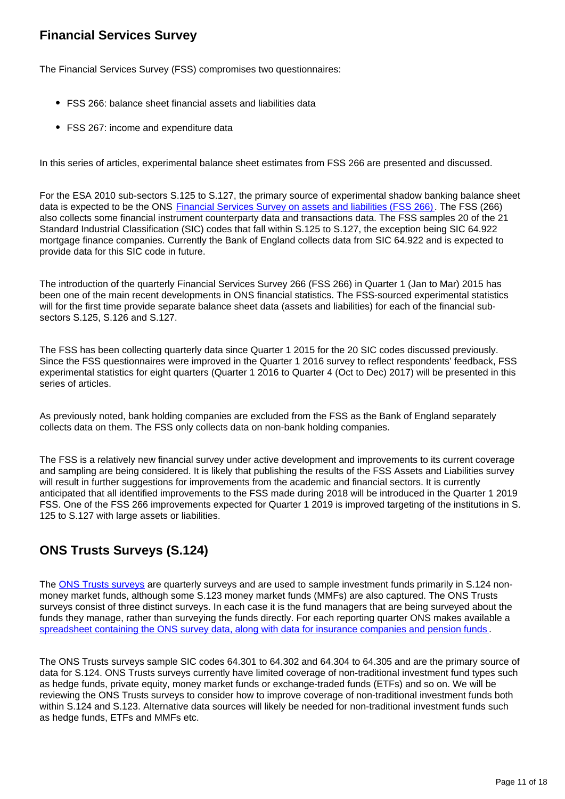## **Financial Services Survey**

The Financial Services Survey (FSS) compromises two questionnaires:

- FSS 266: balance sheet financial assets and liabilities data
- FSS 267: income and expenditure data

In this series of articles, experimental balance sheet estimates from FSS 266 are presented and discussed.

For the ESA 2010 sub-sectors S.125 to S.127, the primary source of experimental shadow banking balance sheet data is expected to be the ONS [Financial Services Survey on assets and liabilities \(FSS 266\).](https://www.ons.gov.uk/surveys/informationforbusinesses/businesssurveys/financialservicessurvey) The FSS (266) also collects some financial instrument counterparty data and transactions data. The FSS samples 20 of the 21 Standard Industrial Classification (SIC) codes that fall within S.125 to S.127, the exception being SIC 64.922 mortgage finance companies. Currently the Bank of England collects data from SIC 64.922 and is expected to provide data for this SIC code in future.

The introduction of the quarterly Financial Services Survey 266 (FSS 266) in Quarter 1 (Jan to Mar) 2015 has been one of the main recent developments in ONS financial statistics. The FSS-sourced experimental statistics will for the first time provide separate balance sheet data (assets and liabilities) for each of the financial subsectors S.125, S.126 and S.127.

The FSS has been collecting quarterly data since Quarter 1 2015 for the 20 SIC codes discussed previously. Since the FSS questionnaires were improved in the Quarter 1 2016 survey to reflect respondents' feedback, FSS experimental statistics for eight quarters (Quarter 1 2016 to Quarter 4 (Oct to Dec) 2017) will be presented in this series of articles.

As previously noted, bank holding companies are excluded from the FSS as the Bank of England separately collects data on them. The FSS only collects data on non-bank holding companies.

The FSS is a relatively new financial survey under active development and improvements to its current coverage and sampling are being considered. It is likely that publishing the results of the FSS Assets and Liabilities survey will result in further suggestions for improvements from the academic and financial sectors. It is currently anticipated that all identified improvements to the FSS made during 2018 will be introduced in the Quarter 1 2019 FSS. One of the FSS 266 improvements expected for Quarter 1 2019 is improved targeting of the institutions in S. 125 to S.127 with large assets or liabilities.

## **ONS Trusts Surveys (S.124)**

The [ONS Trusts surveys](https://www.ons.gov.uk/economy/investmentspensionsandtrusts/methodologies/backgroundinformationontheinstitutionscoveredinthemq5release) are quarterly surveys and are used to sample investment funds primarily in S.124 nonmoney market funds, although some S.123 money market funds (MMFs) are also captured. The ONS Trusts surveys consist of three distinct surveys. In each case it is the fund managers that are being surveyed about the funds they manage, rather than surveying the funds directly. For each reporting quarter ONS makes available a [spreadsheet containing the ONS survey data, along with data for insurance companies and pension funds](https://www.ons.gov.uk/economy/investmentspensionsandtrusts/datasets/mq5investmentbyinsurancecompaniespensionfundsandtrusts)

The ONS Trusts surveys sample SIC codes 64.301 to 64.302 and 64.304 to 64.305 and are the primary source of data for S.124. ONS Trusts surveys currently have limited coverage of non-traditional investment fund types such as hedge funds, private equity, money market funds or exchange-traded funds (ETFs) and so on. We will be reviewing the ONS Trusts surveys to consider how to improve coverage of non-traditional investment funds both within S.124 and S.123. Alternative data sources will likely be needed for non-traditional investment funds such as hedge funds, ETFs and MMFs etc.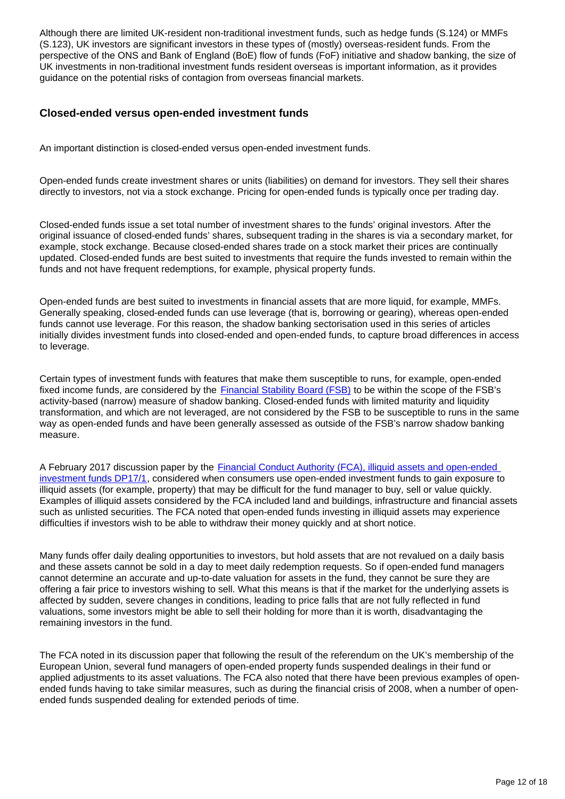Although there are limited UK-resident non-traditional investment funds, such as hedge funds (S.124) or MMFs (S.123), UK investors are significant investors in these types of (mostly) overseas-resident funds. From the perspective of the ONS and Bank of England (BoE) flow of funds (FoF) initiative and shadow banking, the size of UK investments in non-traditional investment funds resident overseas is important information, as it provides guidance on the potential risks of contagion from overseas financial markets.

#### **Closed-ended versus open-ended investment funds**

An important distinction is closed-ended versus open-ended investment funds.

Open-ended funds create investment shares or units (liabilities) on demand for investors. They sell their shares directly to investors, not via a stock exchange. Pricing for open-ended funds is typically once per trading day.

Closed-ended funds issue a set total number of investment shares to the funds' original investors. After the original issuance of closed-ended funds' shares, subsequent trading in the shares is via a secondary market, for example, stock exchange. Because closed-ended shares trade on a stock market their prices are continually updated. Closed-ended funds are best suited to investments that require the funds invested to remain within the funds and not have frequent redemptions, for example, physical property funds.

Open-ended funds are best suited to investments in financial assets that are more liquid, for example, MMFs. Generally speaking, closed-ended funds can use leverage (that is, borrowing or gearing), whereas open-ended funds cannot use leverage. For this reason, the shadow banking sectorisation used in this series of articles initially divides investment funds into closed-ended and open-ended funds, to capture broad differences in access to leverage.

Certain types of investment funds with features that make them susceptible to runs, for example, open-ended fixed income funds, are considered by the **[Financial Stability Board \(FSB\)](http://www.fsb.org/2018/03/global-shadow-banking-monitoring-report-2017/)** to be within the scope of the FSB's activity-based (narrow) measure of shadow banking. Closed-ended funds with limited maturity and liquidity transformation, and which are not leveraged, are not considered by the FSB to be susceptible to runs in the same way as open-ended funds and have been generally assessed as outside of the FSB's narrow shadow banking measure.

A February 2017 discussion paper by the **Financial Conduct Authority (FCA)**, illiquid assets and open-ended [investment funds DP17/1](https://www.fca.org.uk/publications/discussion-papers/illiquid-assets-open-ended-investment-funds), considered when consumers use open-ended investment funds to gain exposure to illiquid assets (for example, property) that may be difficult for the fund manager to buy, sell or value quickly. Examples of illiquid assets considered by the FCA included land and buildings, infrastructure and financial assets such as unlisted securities. The FCA noted that open-ended funds investing in illiquid assets may experience difficulties if investors wish to be able to withdraw their money quickly and at short notice.

Many funds offer daily dealing opportunities to investors, but hold assets that are not revalued on a daily basis and these assets cannot be sold in a day to meet daily redemption requests. So if open-ended fund managers cannot determine an accurate and up-to-date valuation for assets in the fund, they cannot be sure they are offering a fair price to investors wishing to sell. What this means is that if the market for the underlying assets is affected by sudden, severe changes in conditions, leading to price falls that are not fully reflected in fund valuations, some investors might be able to sell their holding for more than it is worth, disadvantaging the remaining investors in the fund.

The FCA noted in its discussion paper that following the result of the referendum on the UK's membership of the European Union, several fund managers of open-ended property funds suspended dealings in their fund or applied adjustments to its asset valuations. The FCA also noted that there have been previous examples of openended funds having to take similar measures, such as during the financial crisis of 2008, when a number of openended funds suspended dealing for extended periods of time.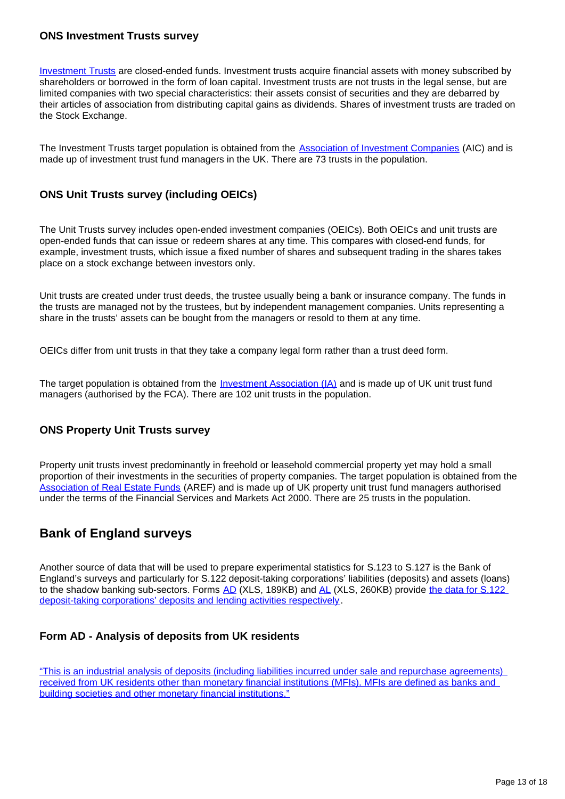#### **ONS Investment Trusts survey**

[Investment Trusts](https://www.ons.gov.uk/economy/investmentspensionsandtrusts/methodologies/backgroundinformationontheinstitutionscoveredinthemq5release) are closed-ended funds. Investment trusts acquire financial assets with money subscribed by shareholders or borrowed in the form of loan capital. Investment trusts are not trusts in the legal sense, but are limited companies with two special characteristics: their assets consist of securities and they are debarred by their articles of association from distributing capital gains as dividends. Shares of investment trusts are traded on the Stock Exchange.

The Investment Trusts target population is obtained from the **Association of Investment Companies** (AIC) and is made up of investment trust fund managers in the UK. There are 73 trusts in the population.

#### **ONS Unit Trusts survey (including OEICs)**

The Unit Trusts survey includes open-ended investment companies (OEICs). Both OEICs and unit trusts are open-ended funds that can issue or redeem shares at any time. This compares with closed-end funds, for example, investment trusts, which issue a fixed number of shares and subsequent trading in the shares takes place on a stock exchange between investors only.

Unit trusts are created under trust deeds, the trustee usually being a bank or insurance company. The funds in the trusts are managed not by the trustees, but by independent management companies. Units representing a share in the trusts' assets can be bought from the managers or resold to them at any time.

OEICs differ from unit trusts in that they take a company legal form rather than a trust deed form.

The target population is obtained from the *[Investment Association \(IA\)](https://www.theinvestmentassociation.org/)* and is made up of UK unit trust fund managers (authorised by the FCA). There are 102 unit trusts in the population.

#### **ONS Property Unit Trusts survey**

Property unit trusts invest predominantly in freehold or leasehold commercial property yet may hold a small proportion of their investments in the securities of property companies. The target population is obtained from the [Association of Real Estate Funds](http://www.aref.org.uk/) (AREF) and is made up of UK property unit trust fund managers authorised under the terms of the Financial Services and Markets Act 2000. There are 25 trusts in the population.

### **Bank of England surveys**

Another source of data that will be used to prepare experimental statistics for S.123 to S.127 is the Bank of England's surveys and particularly for S.122 deposit-taking corporations' liabilities (deposits) and assets (loans) to the shadow banking sub-sectors. Forms [AD](https://www.bankofengland.co.uk/-/media/boe/files/statistics/data-collection/ad/form_ad2014.xls?la=en&hash=CC4B70E4A5B6CE26FC15498494F567E5EC530DDE) (XLS, 189KB) and [AL](https://www.bankofengland.co.uk/-/media/boe/files/statistics/data-collection/al/form_al2014.xls?la=en&hash=CC4B70E4A5B6CE26FC15498494F567E5EC530DDE) (XLS, 260KB) provide the data for S.122 [deposit-taking corporations' deposits and lending activities respectively.](https://www.bankofengland.co.uk/Statistics/data-collection)

#### **Form AD - Analysis of deposits from UK residents**

["This is an industrial analysis of deposits \(including liabilities incurred under sale and repurchase agreements\)](https://www.bankofengland.co.uk/-/media/boe/files/statistics/data-collection/ad/def_ad.pdf?la=en&hash=8F8429CEA456939B145C2BA3E158E41DEAD15C4D)  [received from UK residents other than monetary financial institutions \(MFIs\). MFIs are defined as banks and](https://www.bankofengland.co.uk/-/media/boe/files/statistics/data-collection/ad/def_ad.pdf?la=en&hash=8F8429CEA456939B145C2BA3E158E41DEAD15C4D)  [building societies and other monetary financial institutions."](https://www.bankofengland.co.uk/-/media/boe/files/statistics/data-collection/ad/def_ad.pdf?la=en&hash=8F8429CEA456939B145C2BA3E158E41DEAD15C4D)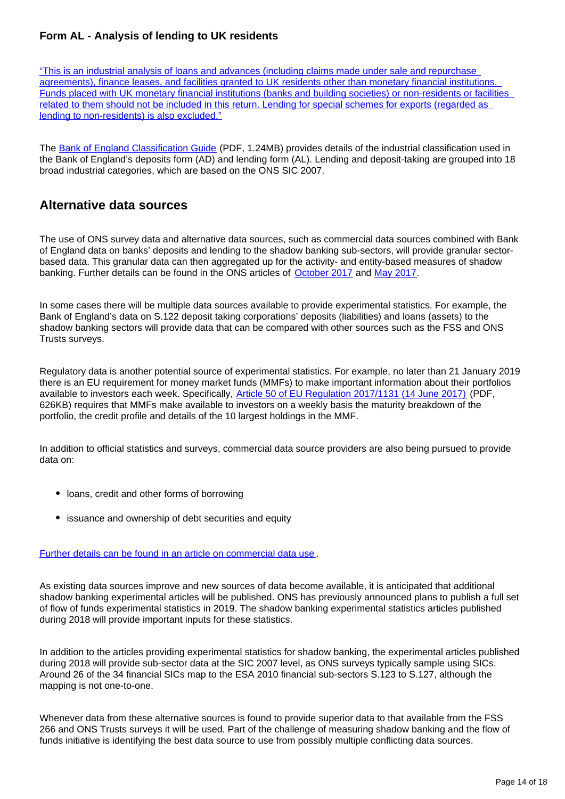#### **Form AL - Analysis of lending to UK residents**

["This is an industrial analysis of loans and advances \(including claims made under sale and repurchase](https://www.bankofengland.co.uk/-/media/boe/files/statistics/data-collection/al/def_al.pdf?la=en&hash=74C10519135C7A62514BF356E0F12818BCBD5378)  [agreements\), finance leases, and facilities granted to UK residents other than monetary financial institutions.](https://www.bankofengland.co.uk/-/media/boe/files/statistics/data-collection/al/def_al.pdf?la=en&hash=74C10519135C7A62514BF356E0F12818BCBD5378)  [Funds placed with UK monetary financial institutions \(banks and building societies\) or non-residents or facilities](https://www.bankofengland.co.uk/-/media/boe/files/statistics/data-collection/al/def_al.pdf?la=en&hash=74C10519135C7A62514BF356E0F12818BCBD5378)  [related to them should not be included in this return. Lending for special schemes for exports \(regarded as](https://www.bankofengland.co.uk/-/media/boe/files/statistics/data-collection/al/def_al.pdf?la=en&hash=74C10519135C7A62514BF356E0F12818BCBD5378)  [lending to non-residents\) is also excluded."](https://www.bankofengland.co.uk/-/media/boe/files/statistics/data-collection/al/def_al.pdf?la=en&hash=74C10519135C7A62514BF356E0F12818BCBD5378)

The [Bank of England Classification Guide](https://www.bankofengland.co.uk/-/media/boe/files/statistics/data-collection/cag201901.pdf?la=en&hash=6E3AA3809BDBE67621EEF45EB5A15B391B43DAA2) (PDF, 1.24MB) provides details of the industrial classification used in the Bank of England's deposits form (AD) and lending form (AL). Lending and deposit-taking are grouped into 18 broad industrial categories, which are based on the ONS SIC 2007.

### **Alternative data sources**

The use of ONS survey data and alternative data sources, such as commercial data sources combined with Bank of England data on banks' deposits and lending to the shadow banking sub-sectors, will provide granular sectorbased data. This granular data can then aggregated up for the activity- and entity-based measures of shadow banking. Further details can be found in the ONS articles of [October 2017](https://www.ons.gov.uk/economy/nationalaccounts/uksectoraccounts/articles/economicstatisticstransformationprogramme/enhancedfinancialaccountsukflowoffundsprogressoncommercialdatause) and [May 2017](https://www.ons.gov.uk/economy/nationalaccounts/uksectoraccounts/articles/economicstatisticstransformationprogramme/enhancedfinancialaccountsukflowoffundsplansforcommercialdatause).

In some cases there will be multiple data sources available to provide experimental statistics. For example, the Bank of England's data on S.122 deposit taking corporations' deposits (liabilities) and loans (assets) to the shadow banking sectors will provide data that can be compared with other sources such as the FSS and ONS Trusts surveys.

Regulatory data is another potential source of experimental statistics. For example, no later than 21 January 2019 there is an EU requirement for money market funds (MMFs) to make important information about their portfolios available to investors each week. Specifically, [Article 50 of EU Regulation 2017/1131 \(14 June 2017\)](http://eur-lex.europa.eu/legal-content/EN/TXT/PDF/?uri=CELEX:32017R1131&from=EN) (PDF, 626KB) requires that MMFs make available to investors on a weekly basis the maturity breakdown of the portfolio, the credit profile and details of the 10 largest holdings in the MMF.

In addition to official statistics and surveys, commercial data source providers are also being pursued to provide data on:

- loans, credit and other forms of borrowing
- issuance and ownership of debt securities and equity

#### [Further details can be found in an article on commercial data use](https://www.ons.gov.uk/economy/nationalaccounts/uksectoraccounts/articles/economicstatisticstransformationprogramme/enhancedfinancialaccountsukflowoffundsprogressoncommercialdatause) .

As existing data sources improve and new sources of data become available, it is anticipated that additional shadow banking experimental articles will be published. ONS has previously announced plans to publish a full set of flow of funds experimental statistics in 2019. The shadow banking experimental statistics articles published during 2018 will provide important inputs for these statistics.

In addition to the articles providing experimental statistics for shadow banking, the experimental articles published during 2018 will provide sub-sector data at the SIC 2007 level, as ONS surveys typically sample using SICs. Around 26 of the 34 financial SICs map to the ESA 2010 financial sub-sectors S.123 to S.127, although the mapping is not one-to-one.

Whenever data from these alternative sources is found to provide superior data to that available from the FSS 266 and ONS Trusts surveys it will be used. Part of the challenge of measuring shadow banking and the flow of funds initiative is identifying the best data source to use from possibly multiple conflicting data sources.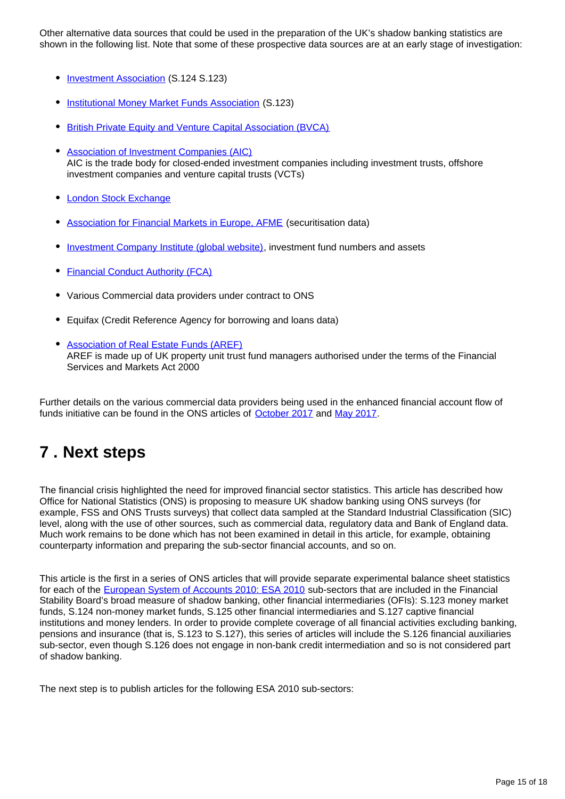Other alternative data sources that could be used in the preparation of the UK's shadow banking statistics are shown in the following list. Note that some of these prospective data sources are at an early stage of investigation:

- **[Investment Association](https://www.theinvestmentassociation.org/fund-statistics/)** (S.124 S.123)
- [Institutional Money Market Funds Association](https://www.immfa.org/) (S.123)
- **[British Private Equity and Venture Capital Association \(BVCA\)](https://www.bvca.co.uk/)**
- [Association of Investment Companies \(AIC\)](https://www.theaic.co.uk/) AIC is the trade body for closed-ended investment companies including investment trusts, offshore investment companies and venture capital trusts (VCTs)
- [London Stock Exchange](http://www.londonstockexchange.com/statistics/home/statistics.htm)
- [Association for Financial Markets in Europe, AFME](https://www.afme.eu/en/reports/Statistics/) (securitisation data)
- [Investment Company Institute \(global website\),](https://www.ici.org/research/stats/worldwide) investment fund numbers and assets
- [Financial Conduct Authority \(FCA\)](https://www.fca.org.uk/)
- Various Commercial data providers under contract to ONS
- Equifax (Credit Reference Agency for borrowing and loans data)
- **[Association of Real Estate Funds \(AREF\)](http://www.aref.org.uk/)** AREF is made up of UK property unit trust fund managers authorised under the terms of the Financial Services and Markets Act 2000

Further details on the various commercial data providers being used in the enhanced financial account flow of funds initiative can be found in the ONS articles of [October 2017](https://www.ons.gov.uk/economy/nationalaccounts/uksectoraccounts/articles/economicstatisticstransformationprogramme/enhancedfinancialaccountsukflowoffundsprogressoncommercialdatause) and [May 2017](https://www.ons.gov.uk/economy/nationalaccounts/uksectoraccounts/articles/economicstatisticstransformationprogramme/enhancedfinancialaccountsukflowoffundsplansforcommercialdatause).

## <span id="page-14-0"></span>**7 . Next steps**

The financial crisis highlighted the need for improved financial sector statistics. This article has described how Office for National Statistics (ONS) is proposing to measure UK shadow banking using ONS surveys (for example, FSS and ONS Trusts surveys) that collect data sampled at the Standard Industrial Classification (SIC) level, along with the use of other sources, such as commercial data, regulatory data and Bank of England data. Much work remains to be done which has not been examined in detail in this article, for example, obtaining counterparty information and preparing the sub-sector financial accounts, and so on.

This article is the first in a series of ONS articles that will provide separate experimental balance sheet statistics for each of the [European System of Accounts 2010: ESA 2010](http://ec.europa.eu/eurostat/web/esa-2010) sub-sectors that are included in the Financial Stability Board's broad measure of shadow banking, other financial intermediaries (OFIs): S.123 money market funds, S.124 non-money market funds, S.125 other financial intermediaries and S.127 captive financial institutions and money lenders. In order to provide complete coverage of all financial activities excluding banking, pensions and insurance (that is, S.123 to S.127), this series of articles will include the S.126 financial auxiliaries sub-sector, even though S.126 does not engage in non-bank credit intermediation and so is not considered part of shadow banking.

The next step is to publish articles for the following ESA 2010 sub-sectors: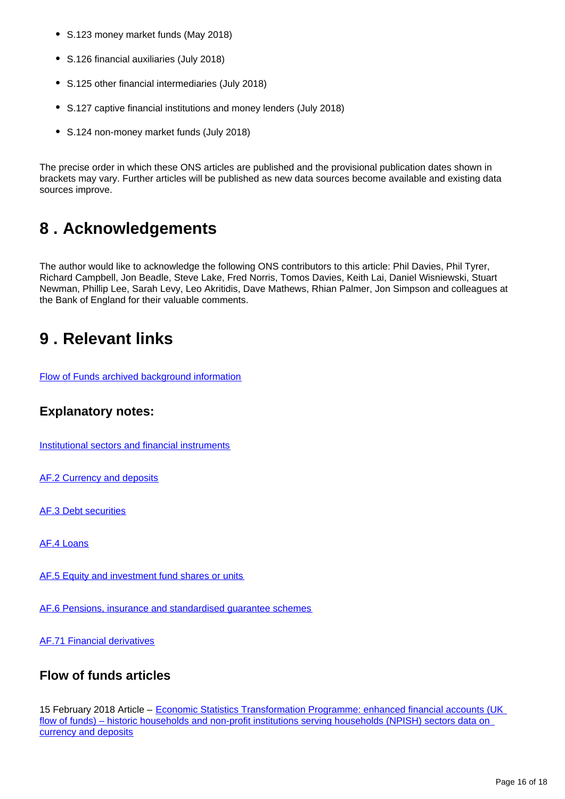- S.123 money market funds (May 2018)
- S.126 financial auxiliaries (July 2018)
- S.125 other financial intermediaries (July 2018)
- S.127 captive financial institutions and money lenders (July 2018)
- S.124 non-money market funds (July 2018)

The precise order in which these ONS articles are published and the provisional publication dates shown in brackets may vary. Further articles will be published as new data sources become available and existing data sources improve.

## <span id="page-15-0"></span>**8 . Acknowledgements**

The author would like to acknowledge the following ONS contributors to this article: Phil Davies, Phil Tyrer, Richard Campbell, Jon Beadle, Steve Lake, Fred Norris, Tomos Davies, Keith Lai, Daniel Wisniewski, Stuart Newman, Phillip Lee, Sarah Levy, Leo Akritidis, Dave Mathews, Rhian Palmer, Jon Simpson and colleagues at the Bank of England for their valuable comments.

## <span id="page-15-1"></span>**9 . Relevant links**

[Flow of Funds archived background information](http://webarchive.nationalarchives.gov.uk/20160105160709/http:/www.ons.gov.uk/ons/guide-method/method-quality/specific/economy/national-accounts/changes-to-national-accounts/flow-of-funds--fof-/index.html)

### **Explanatory notes:**

[Institutional sectors and financial instruments](https://www.ons.gov.uk/economy/nationalaccounts/uksectoraccounts/methodologies/economicstatisticstransformationprogrammeenhancedfinancialaccountsukflowoffundsinstitutionalsectorsandfinancialinstrumentsexplanatorynotes2016)

[AF.2 Currency and deposits](https://www.ons.gov.uk/economy/nationalaccounts/uksectoraccounts/methodologies/economicstatisticstransformationprogrammeenhancedfinancialaccountsukflowoffundsexperimentalcurrencyanddepositstatisticsexplanatorynotes2016)

[AF.3 Debt securities](https://www.ons.gov.uk/economy/nationalaccounts/uksectoraccounts/methodologies/economicstatisticstransformationprogrammeenhancedfinancialaccountsukflowoffundsexperimentaldebtsecuritiesstatisticsexplanatorynotes2016)

[AF.4 Loans](https://www.ons.gov.uk/economy/nationalaccounts/uksectoraccounts/methodologies/economicstatisticstransformationprogrammeenhancedfinancialaccountsukflowoffundsexperimentalloansstatisticsexplanatorynotes2016)

[AF.5 Equity and investment fund shares or units](https://www.ons.gov.uk/economy/nationalaccounts/uksectoraccounts/methodologies/economicstatisticstransformationprogrammeenhancedfinancialaccountsukflowoffundsexperimentalequityandinvestmentfundsharesorunitsstatisticsexplanatorynotes2016)

[AF.6 Pensions, insurance and standardised guarantee schemes](https://www.ons.gov.uk/economy/nationalaccounts/uksectoraccounts/methodologies/economicstatisticstransformationprogrammeenhancedfinancialaccountsukflowoffundsexperimentalinsurancepensionsandstandardisedguaranteeschemesstatisticsexplanatorynotes2016)

[AF.71 Financial derivatives](https://www.ons.gov.uk/economy/nationalaccounts/uksectoraccounts/methodologies/economicstatisticstransformationprogrammeenhancedfinancialaccountsukflowoffundsexperimentalfinancialderivativesstatisticsexplanatorynotes2016)

### **Flow of funds articles**

15 February 2018 Article - Economic Statistics Transformation Programme: enhanced financial accounts (UK flow of funds) – historic households and non-profit institutions serving households (NPISH) sectors data on [currency and deposits](https://www.ons.gov.uk/economy/nationalaccounts/uksectoraccounts/articles/economicstatisticstransformationprogramme/historichouseholdsandnonprofitinstitutionsservinghouseholdsnpishsectorsdataoncurrencyanddeposits)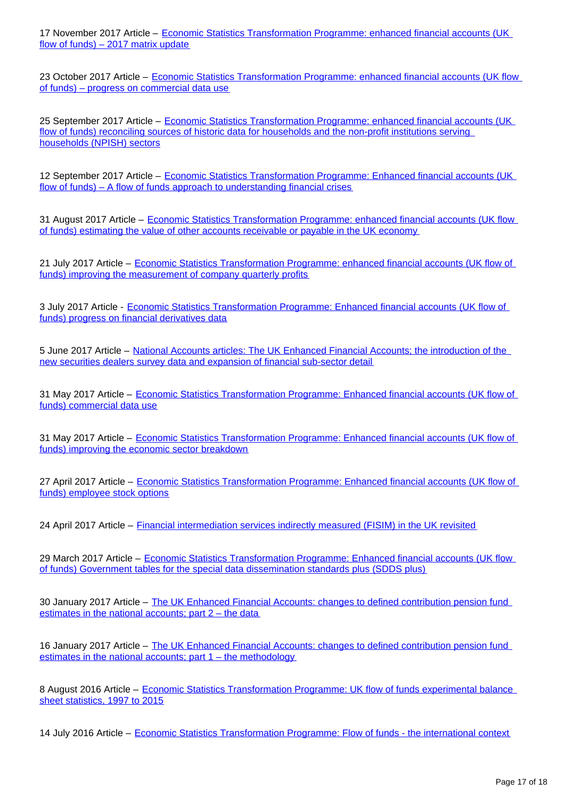17 November 2017 Article – [Economic Statistics Transformation Programme: enhanced financial accounts \(UK](https://www.ons.gov.uk/releases/economicstatisticstransformationprogrammeenhancedfinancialaccountsukflowoffundsexperimentalbalancesheetstatistics1997to2016)  [flow of funds\) – 2017 matrix update](https://www.ons.gov.uk/releases/economicstatisticstransformationprogrammeenhancedfinancialaccountsukflowoffundsexperimentalbalancesheetstatistics1997to2016)

23 October 2017 Article – [Economic Statistics Transformation Programme: enhanced financial accounts \(UK flow](https://www.ons.gov.uk/economy/nationalaccounts/uksectoraccounts/articles/economicstatisticstransformationprogramme/enhancedfinancialaccountsukflowoffundsprogressoncommercialdatause)  [of funds\) – progress on commercial data use](https://www.ons.gov.uk/economy/nationalaccounts/uksectoraccounts/articles/economicstatisticstransformationprogramme/enhancedfinancialaccountsukflowoffundsprogressoncommercialdatause)

25 September 2017 Article – [Economic Statistics Transformation Programme: enhanced financial accounts \(UK](https://www.ons.gov.uk/economy/nationalaccounts/uksectoraccounts/articles/economicstatisticstransformationprogramme/enhancedfinancialaccountsukflowoffundsreconcilingsourcesofhistoricdataforthehouseholdsandthenonprofitinstitutionsservinghouseholdsnpishsectors)  [flow of funds\) reconciling sources of historic data for households and the non-profit institutions serving](https://www.ons.gov.uk/economy/nationalaccounts/uksectoraccounts/articles/economicstatisticstransformationprogramme/enhancedfinancialaccountsukflowoffundsreconcilingsourcesofhistoricdataforthehouseholdsandthenonprofitinstitutionsservinghouseholdsnpishsectors)  [households \(NPISH\) sectors](https://www.ons.gov.uk/economy/nationalaccounts/uksectoraccounts/articles/economicstatisticstransformationprogramme/enhancedfinancialaccountsukflowoffundsreconcilingsourcesofhistoricdataforthehouseholdsandthenonprofitinstitutionsservinghouseholdsnpishsectors)

12 September 2017 Article – Economic Statistics Transformation Programme: Enhanced financial accounts (UK [flow of funds\) – A flow of funds approach to understanding financial crises](https://www.ons.gov.uk/economy/nationalaccounts/uksectoraccounts/articles/economicstatisticstransformationprogramme/enhancedfinancialaccountsukflowoffundsaflowoffundsapproachtounderstandingfinancialcrises)

31 August 2017 Article – Economic Statistics Transformation Programme: enhanced financial accounts (UK flow [of funds\) estimating the value of other accounts receivable or payable in the UK economy](https://www.ons.gov.uk/economy/nationalaccounts/uksectoraccounts/articles/economicstatisticstransformationprogramme/enhancedfinancialaccountsukflowoffundsestimatingthevalueofotheraccountsreceivableorpayableintheukeconomy)

21 July 2017 Article – [Economic Statistics Transformation Programme: enhanced financial accounts \(UK flow of](https://www.ons.gov.uk/economy/nationalaccounts/uksectoraccounts/articles/economicstatisticstransformationprogramme/enhancedfinancialaccountsukflowoffundsimprovingthemeasurementofcompanyquarterlyprofit)  [funds\) improving the measurement of company quarterly profits](https://www.ons.gov.uk/economy/nationalaccounts/uksectoraccounts/articles/economicstatisticstransformationprogramme/enhancedfinancialaccountsukflowoffundsimprovingthemeasurementofcompanyquarterlyprofit)

3 July 2017 Article - [Economic Statistics Transformation Programme: Enhanced financial accounts \(UK flow of](https://www.ons.gov.uk/economy/nationalaccounts/uksectoraccounts/articles/economicstatisticstransformationprogramme/enhancedfinancialaccountsukflowoffundsprogressonfinancialderivativesdata)  [funds\) progress on financial derivatives data](https://www.ons.gov.uk/economy/nationalaccounts/uksectoraccounts/articles/economicstatisticstransformationprogramme/enhancedfinancialaccountsukflowoffundsprogressonfinancialderivativesdata)

5 June 2017 Article – [National Accounts articles: The UK Enhanced Financial Accounts; the introduction of the](https://www.ons.gov.uk/economy/nationalaccounts/uksectoraccounts/articles/nationalaccountsarticles/theukenhancedfinancialaccountstheintroductionofthenewsecuritiesdealerssurveydataandexpansionoffinancialsubsectordetail)  [new securities dealers survey data and expansion of financial sub-sector detail](https://www.ons.gov.uk/economy/nationalaccounts/uksectoraccounts/articles/nationalaccountsarticles/theukenhancedfinancialaccountstheintroductionofthenewsecuritiesdealerssurveydataandexpansionoffinancialsubsectordetail)

31 May 2017 Article – [Economic Statistics Transformation Programme: Enhanced financial accounts \(UK flow of](https://www.ons.gov.uk/economy/nationalaccounts/uksectoraccounts/articles/economicstatisticstransformationprogramme/enhancedfinancialaccountsukflowoffundsplansforcommercialdatause)  [funds\) commercial data use](https://www.ons.gov.uk/economy/nationalaccounts/uksectoraccounts/articles/economicstatisticstransformationprogramme/enhancedfinancialaccountsukflowoffundsplansforcommercialdatause)

31 May 2017 Article – Economic Statistics Transformation Programme: Enhanced financial accounts (UK flow of [funds\) improving the economic sector breakdown](https://www.ons.gov.uk/economy/nationalaccounts/uksectoraccounts/articles/economicstatisticstransformationprogramme/enhancedfinancialaccountsukflowoffundsimprovingtheeconomicsectorbreakdown)

27 April 2017 Article – [Economic Statistics Transformation Programme: Enhanced financial accounts \(UK flow of](https://www.ons.gov.uk/economy/nationalaccounts/uksectoraccounts/articles/economicstatisticstransformationprogramme/enhancedfinancialaccountsukflowoffundsemployeestockoptions)  [funds\) employee stock options](https://www.ons.gov.uk/economy/nationalaccounts/uksectoraccounts/articles/economicstatisticstransformationprogramme/enhancedfinancialaccountsukflowoffundsemployeestockoptions)

24 April 2017 Article – [Financial intermediation services indirectly measured \(FISIM\) in the UK revisited](https://www.ons.gov.uk/economy/grossdomesticproductgdp/articles/financialintermediationservicesindirectlymeasuredfisimintheukrevisited/2017-04-24)

29 March 2017 Article – Economic Statistics Transformation Programme: Enhanced financial accounts (UK flow [of funds\) Government tables for the special data dissemination standards plus \(SDDS plus\)](https://www.ons.gov.uk/economy/nationalaccounts/uksectoraccounts/articles/economicstatisticstransformationprogramme/enhancedfinancialaccountsukflowoffundsgovernmenttablesforthespecialdatadisseminationstandardsplussdds)

30 January 2017 Article - The UK Enhanced Financial Accounts: changes to defined contribution pension fund [estimates in the national accounts; part 2 – the data](https://www.ons.gov.uk/economy/nationalaccounts/uksectoraccounts/methodologies/theukenhancedfinancialaccountschangestodefinedcontributionpensionfundestimatesinthenationalaccountspart2thedata)

16 January 2017 Article – The UK Enhanced Financial Accounts: changes to defined contribution pension fund [estimates in the national accounts; part 1 – the methodology](https://www.ons.gov.uk/economy/nationalaccounts/uksectoraccounts/methodologies/theukenhancedfinancialaccountschangestodefinedcontributionpensionfundestimatesinthenationalaccountspart1themethods)

8 August 2016 Article – [Economic Statistics Transformation Programme: UK flow of funds experimental balance](https://www.ons.gov.uk/economy/nationalaccounts/uksectoraccounts/articles/economicstatisticstransformationprogramme/ukflowoffundsexperimentalbalancesheetstatistics1997to2015)  [sheet statistics, 1997 to 2015](https://www.ons.gov.uk/economy/nationalaccounts/uksectoraccounts/articles/economicstatisticstransformationprogramme/ukflowoffundsexperimentalbalancesheetstatistics1997to2015)

14 July 2016 Article – [Economic Statistics Transformation Programme: Flow of funds - the international context](https://www.ons.gov.uk/economy/nationalaccounts/uksectoraccounts/articles/economicstatisticstransformationprogramme/flowoffundstheinternationalcontext)